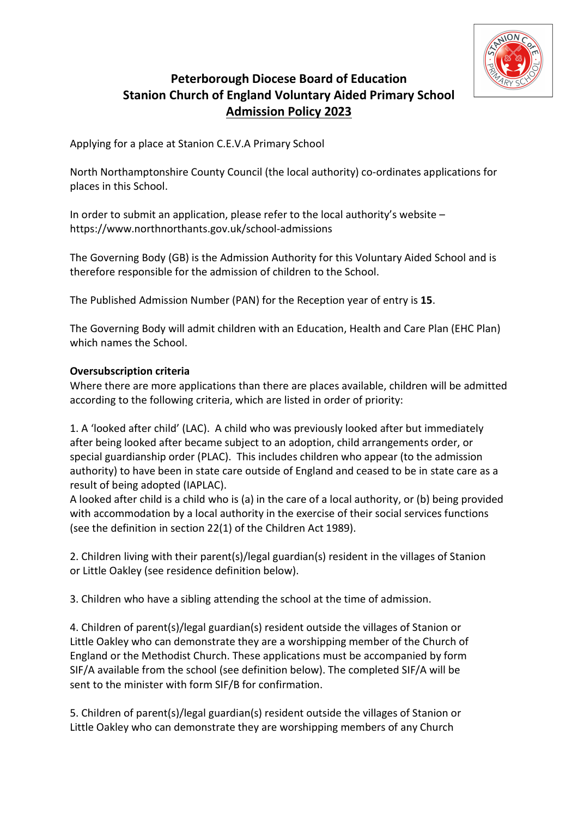

# Peterborough Diocese Board of Education Stanion Church of England Voluntary Aided Primary School Admission Policy 2023

Applying for a place at Stanion C.E.V.A Primary School

North Northamptonshire County Council (the local authority) co-ordinates applications for places in this School.

In order to submit an application, please refer to the local authority's website – https://www.northnorthants.gov.uk/school-admissions

The Governing Body (GB) is the Admission Authority for this Voluntary Aided School and is therefore responsible for the admission of children to the School.

The Published Admission Number (PAN) for the Reception year of entry is 15.

The Governing Body will admit children with an Education, Health and Care Plan (EHC Plan) which names the School.

### Oversubscription criteria

Where there are more applications than there are places available, children will be admitted according to the following criteria, which are listed in order of priority:

1. A 'looked after child' (LAC). A child who was previously looked after but immediately after being looked after became subject to an adoption, child arrangements order, or special guardianship order (PLAC). This includes children who appear (to the admission authority) to have been in state care outside of England and ceased to be in state care as a result of being adopted (IAPLAC).

A looked after child is a child who is (a) in the care of a local authority, or (b) being provided with accommodation by a local authority in the exercise of their social services functions (see the definition in section 22(1) of the Children Act 1989).

2. Children living with their parent(s)/legal guardian(s) resident in the villages of Stanion or Little Oakley (see residence definition below).

3. Children who have a sibling attending the school at the time of admission.

4. Children of parent(s)/legal guardian(s) resident outside the villages of Stanion or Little Oakley who can demonstrate they are a worshipping member of the Church of England or the Methodist Church. These applications must be accompanied by form SIF/A available from the school (see definition below). The completed SIF/A will be sent to the minister with form SIF/B for confirmation.

5. Children of parent(s)/legal guardian(s) resident outside the villages of Stanion or Little Oakley who can demonstrate they are worshipping members of any Church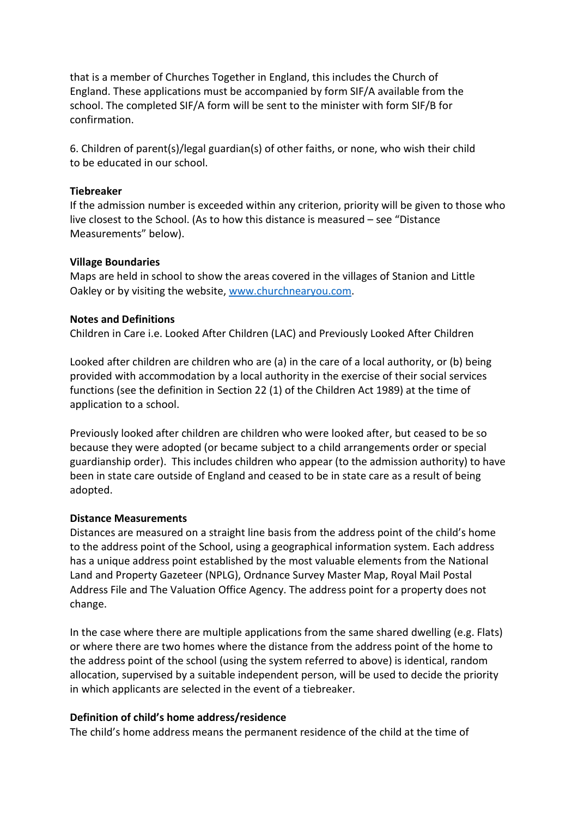that is a member of Churches Together in England, this includes the Church of England. These applications must be accompanied by form SIF/A available from the school. The completed SIF/A form will be sent to the minister with form SIF/B for confirmation.

6. Children of parent(s)/legal guardian(s) of other faiths, or none, who wish their child to be educated in our school.

#### **Tiebreaker**

If the admission number is exceeded within any criterion, priority will be given to those who live closest to the School. (As to how this distance is measured – see "Distance Measurements" below).

#### Village Boundaries

Maps are held in school to show the areas covered in the villages of Stanion and Little Oakley or by visiting the website, www.churchnearyou.com.

#### Notes and Definitions

Children in Care i.e. Looked After Children (LAC) and Previously Looked After Children

Looked after children are children who are (a) in the care of a local authority, or (b) being provided with accommodation by a local authority in the exercise of their social services functions (see the definition in Section 22 (1) of the Children Act 1989) at the time of application to a school.

Previously looked after children are children who were looked after, but ceased to be so because they were adopted (or became subject to a child arrangements order or special guardianship order). This includes children who appear (to the admission authority) to have been in state care outside of England and ceased to be in state care as a result of being adopted.

#### Distance Measurements

Distances are measured on a straight line basis from the address point of the child's home to the address point of the School, using a geographical information system. Each address has a unique address point established by the most valuable elements from the National Land and Property Gazeteer (NPLG), Ordnance Survey Master Map, Royal Mail Postal Address File and The Valuation Office Agency. The address point for a property does not change.

In the case where there are multiple applications from the same shared dwelling (e.g. Flats) or where there are two homes where the distance from the address point of the home to the address point of the school (using the system referred to above) is identical, random allocation, supervised by a suitable independent person, will be used to decide the priority in which applicants are selected in the event of a tiebreaker.

#### Definition of child's home address/residence

The child's home address means the permanent residence of the child at the time of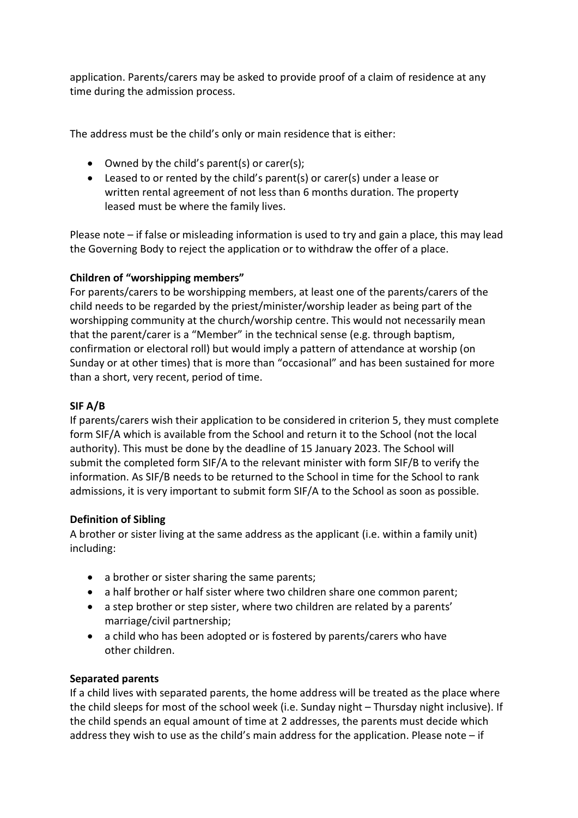application. Parents/carers may be asked to provide proof of a claim of residence at any time during the admission process.

The address must be the child's only or main residence that is either:

- Owned by the child's parent(s) or carer(s);
- Leased to or rented by the child's parent(s) or carer(s) under a lease or written rental agreement of not less than 6 months duration. The property leased must be where the family lives.

Please note – if false or misleading information is used to try and gain a place, this may lead the Governing Body to reject the application or to withdraw the offer of a place.

## Children of "worshipping members"

For parents/carers to be worshipping members, at least one of the parents/carers of the child needs to be regarded by the priest/minister/worship leader as being part of the worshipping community at the church/worship centre. This would not necessarily mean that the parent/carer is a "Member" in the technical sense (e.g. through baptism, confirmation or electoral roll) but would imply a pattern of attendance at worship (on Sunday or at other times) that is more than "occasional" and has been sustained for more than a short, very recent, period of time.

### SIF A/B

If parents/carers wish their application to be considered in criterion 5, they must complete form SIF/A which is available from the School and return it to the School (not the local authority). This must be done by the deadline of 15 January 2023. The School will submit the completed form SIF/A to the relevant minister with form SIF/B to verify the information. As SIF/B needs to be returned to the School in time for the School to rank admissions, it is very important to submit form SIF/A to the School as soon as possible.

### Definition of Sibling

A brother or sister living at the same address as the applicant (i.e. within a family unit) including:

- a brother or sister sharing the same parents;
- a half brother or half sister where two children share one common parent;
- a step brother or step sister, where two children are related by a parents' marriage/civil partnership;
- a child who has been adopted or is fostered by parents/carers who have other children.

### Separated parents

If a child lives with separated parents, the home address will be treated as the place where the child sleeps for most of the school week (i.e. Sunday night – Thursday night inclusive). If the child spends an equal amount of time at 2 addresses, the parents must decide which address they wish to use as the child's main address for the application. Please note  $-$  if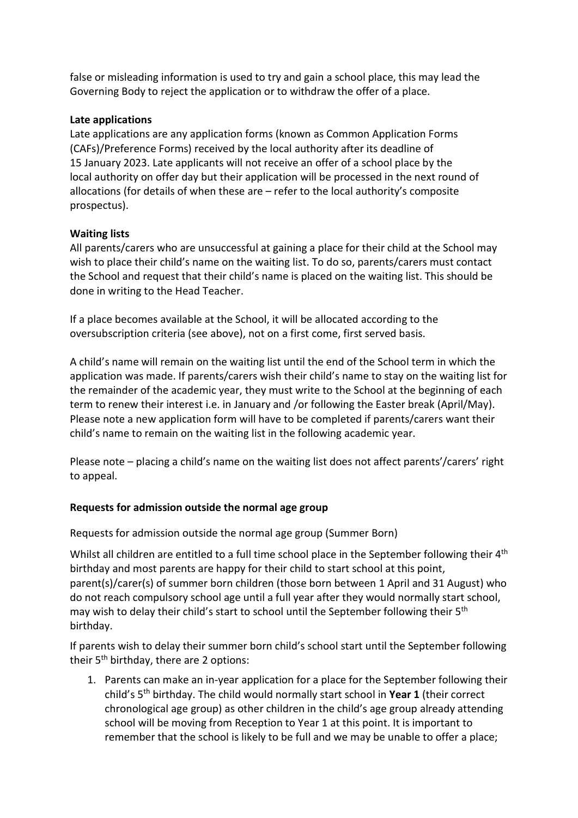false or misleading information is used to try and gain a school place, this may lead the Governing Body to reject the application or to withdraw the offer of a place.

#### Late applications

Late applications are any application forms (known as Common Application Forms (CAFs)/Preference Forms) received by the local authority after its deadline of 15 January 2023. Late applicants will not receive an offer of a school place by the local authority on offer day but their application will be processed in the next round of allocations (for details of when these are – refer to the local authority's composite prospectus).

### Waiting lists

All parents/carers who are unsuccessful at gaining a place for their child at the School may wish to place their child's name on the waiting list. To do so, parents/carers must contact the School and request that their child's name is placed on the waiting list. This should be done in writing to the Head Teacher.

If a place becomes available at the School, it will be allocated according to the oversubscription criteria (see above), not on a first come, first served basis.

A child's name will remain on the waiting list until the end of the School term in which the application was made. If parents/carers wish their child's name to stay on the waiting list for the remainder of the academic year, they must write to the School at the beginning of each term to renew their interest i.e. in January and /or following the Easter break (April/May). Please note a new application form will have to be completed if parents/carers want their child's name to remain on the waiting list in the following academic year.

Please note – placing a child's name on the waiting list does not affect parents'/carers' right to appeal.

### Requests for admission outside the normal age group

Requests for admission outside the normal age group (Summer Born)

Whilst all children are entitled to a full time school place in the September following their 4<sup>th</sup> birthday and most parents are happy for their child to start school at this point, parent(s)/carer(s) of summer born children (those born between 1 April and 31 August) who do not reach compulsory school age until a full year after they would normally start school, may wish to delay their child's start to school until the September following their 5<sup>th</sup> birthday.

If parents wish to delay their summer born child's school start until the September following their 5th birthday, there are 2 options:

1. Parents can make an in-year application for a place for the September following their child's  $5<sup>th</sup>$  birthday. The child would normally start school in **Year 1** (their correct chronological age group) as other children in the child's age group already attending school will be moving from Reception to Year 1 at this point. It is important to remember that the school is likely to be full and we may be unable to offer a place;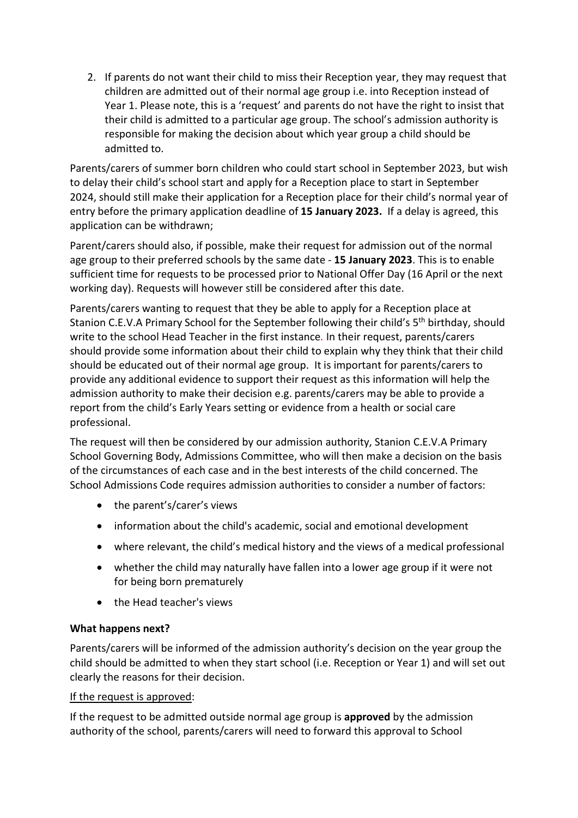2. If parents do not want their child to miss their Reception year, they may request that children are admitted out of their normal age group i.e. into Reception instead of Year 1. Please note, this is a 'request' and parents do not have the right to insist that their child is admitted to a particular age group. The school's admission authority is responsible for making the decision about which year group a child should be admitted to.

Parents/carers of summer born children who could start school in September 2023, but wish to delay their child's school start and apply for a Reception place to start in September 2024, should still make their application for a Reception place for their child's normal year of entry before the primary application deadline of 15 January 2023. If a delay is agreed, this application can be withdrawn;

Parent/carers should also, if possible, make their request for admission out of the normal age group to their preferred schools by the same date - 15 January 2023. This is to enable sufficient time for requests to be processed prior to National Offer Day (16 April or the next working day). Requests will however still be considered after this date.

Parents/carers wanting to request that they be able to apply for a Reception place at Stanion C.E.V.A Primary School for the September following their child's 5<sup>th</sup> birthday, should write to the school Head Teacher in the first instance. In their request, parents/carers should provide some information about their child to explain why they think that their child should be educated out of their normal age group. It is important for parents/carers to provide any additional evidence to support their request as this information will help the admission authority to make their decision e.g. parents/carers may be able to provide a report from the child's Early Years setting or evidence from a health or social care professional.

The request will then be considered by our admission authority, Stanion C.E.V.A Primary School Governing Body, Admissions Committee, who will then make a decision on the basis of the circumstances of each case and in the best interests of the child concerned. The School Admissions Code requires admission authorities to consider a number of factors:

- the parent's/carer's views
- information about the child's academic, social and emotional development
- where relevant, the child's medical history and the views of a medical professional
- whether the child may naturally have fallen into a lower age group if it were not for being born prematurely
- the Head teacher's views

# What happens next?

Parents/carers will be informed of the admission authority's decision on the year group the child should be admitted to when they start school (i.e. Reception or Year 1) and will set out clearly the reasons for their decision.

# If the request is approved:

If the request to be admitted outside normal age group is **approved** by the admission authority of the school, parents/carers will need to forward this approval to School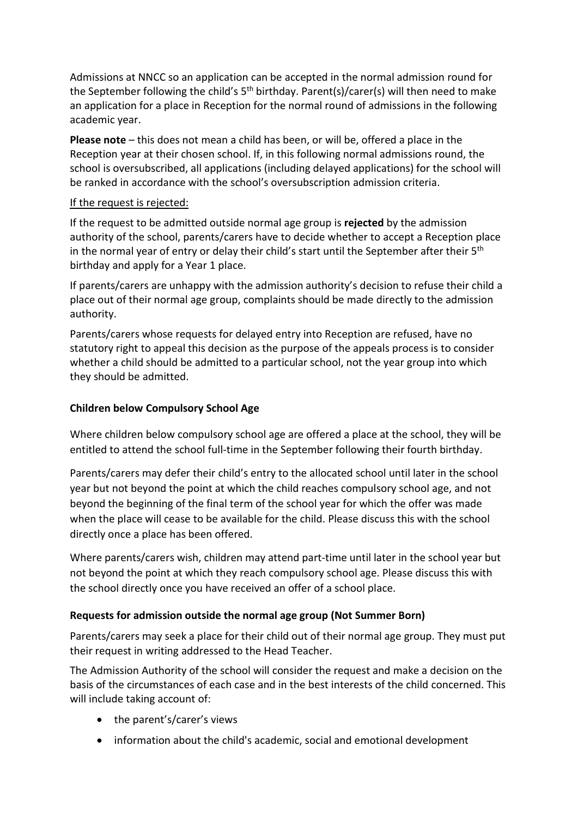Admissions at NNCC so an application can be accepted in the normal admission round for the September following the child's  $5<sup>th</sup>$  birthday. Parent(s)/carer(s) will then need to make an application for a place in Reception for the normal round of admissions in the following academic year.

Please note – this does not mean a child has been, or will be, offered a place in the Reception year at their chosen school. If, in this following normal admissions round, the school is oversubscribed, all applications (including delayed applications) for the school will be ranked in accordance with the school's oversubscription admission criteria.

#### If the request is rejected:

If the request to be admitted outside normal age group is rejected by the admission authority of the school, parents/carers have to decide whether to accept a Reception place in the normal year of entry or delay their child's start until the September after their  $5<sup>th</sup>$ birthday and apply for a Year 1 place.

If parents/carers are unhappy with the admission authority's decision to refuse their child a place out of their normal age group, complaints should be made directly to the admission authority.

Parents/carers whose requests for delayed entry into Reception are refused, have no statutory right to appeal this decision as the purpose of the appeals process is to consider whether a child should be admitted to a particular school, not the year group into which they should be admitted.

### Children below Compulsory School Age

Where children below compulsory school age are offered a place at the school, they will be entitled to attend the school full-time in the September following their fourth birthday.

Parents/carers may defer their child's entry to the allocated school until later in the school year but not beyond the point at which the child reaches compulsory school age, and not beyond the beginning of the final term of the school year for which the offer was made when the place will cease to be available for the child. Please discuss this with the school directly once a place has been offered.

Where parents/carers wish, children may attend part-time until later in the school year but not beyond the point at which they reach compulsory school age. Please discuss this with the school directly once you have received an offer of a school place.

#### Requests for admission outside the normal age group (Not Summer Born)

Parents/carers may seek a place for their child out of their normal age group. They must put their request in writing addressed to the Head Teacher.

The Admission Authority of the school will consider the request and make a decision on the basis of the circumstances of each case and in the best interests of the child concerned. This will include taking account of:

- the parent's/carer's views
- information about the child's academic, social and emotional development